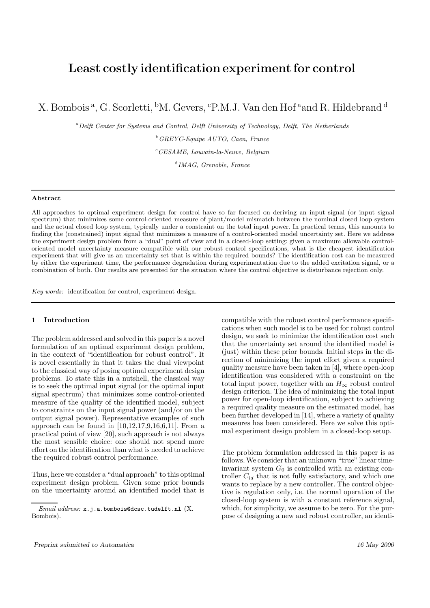# Least costly identification experiment for control

X. Bombois <sup>a</sup>, G. Scorletti, <sup>b</sup>M. Gevers, <sup>c</sup>P.M.J. Van den Hof <sup>a</sup>and R. Hildebrand <sup>d</sup>

<sup>a</sup>Delft Center for Systems and Control, Delft University of Technology, Delft, The Netherlands

 $b$  GREYC-Equipe AUTO, Caen, France

 $CESAME, Louvain-la-Neuve, Belgium$ 

d IMAG, Grenoble, France

#### Abstract

All approaches to optimal experiment design for control have so far focused on deriving an input signal (or input signal spectrum) that minimizes some control-oriented measure of plant/model mismatch between the nominal closed loop system and the actual closed loop system, typically under a constraint on the total input power. In practical terms, this amounts to finding the (constrained) input signal that minimizes a measure of a control-oriented model uncertainty set. Here we address the experiment design problem from a "dual" point of view and in a closed-loop setting: given a maximum allowable controloriented model uncertainty measure compatible with our robust control specifications, what is the cheapest identification experiment that will give us an uncertainty set that is within the required bounds? The identification cost can be measured by either the experiment time, the performance degradation during experimentation due to the added excitation signal, or a combination of both. Our results are presented for the situation where the control objective is disturbance rejection only.

Key words: identification for control, experiment design.

## 1 Introduction

The problem addressed and solved in this paper is a novel formulation of an optimal experiment design problem, in the context of "identification for robust control". It is novel essentially in that it takes the dual viewpoint to the classical way of posing optimal experiment design problems. To state this in a nutshell, the classical way is to seek the optimal input signal (or the optimal input signal spectrum) that minimizes some control-oriented measure of the quality of the identified model, subject to constraints on the input signal power (and/or on the output signal power). Representative examples of such approach can be found in  $[10,12,17,9,16,6,11]$ . From a practical point of view [20], such approach is not always the most sensible choice: one should not spend more effort on the identification than what is needed to achieve the required robust control performance.

Thus, here we consider a "dual approach" to this optimal experiment design problem. Given some prior bounds on the uncertainty around an identified model that is

compatible with the robust control performance specifications when such model is to be used for robust control design, we seek to minimize the identification cost such that the uncertainty set around the identified model is (just) within these prior bounds. Initial steps in the direction of minimizing the input effort given a required quality measure have been taken in [4], where open-loop identification was considered with a constraint on the total input power, together with an  $H_{\infty}$  robust control design criterion. The idea of minimizing the total input power for open-loop identification, subject to achieving a required quality measure on the estimated model, has been further developed in [14], where a variety of quality measures has been considered. Here we solve this optimal experiment design problem in a closed-loop setup.

The problem formulation addressed in this paper is as follows.We consider that an unknown "true" linear timeinvariant system  $G_0$  is controlled with an existing controller  $C_{id}$  that is not fully satisfactory, and which one wants to replace by a new controller. The control objective is regulation only, i.e. the normal operation of the closed-loop system is with a constant reference signal, which, for simplicity, we assume to be zero. For the purpose of designing a new and robust controller, an identi-

Email address: x.j.a.bombois@dcsc.tudelft.nl (X. Bombois).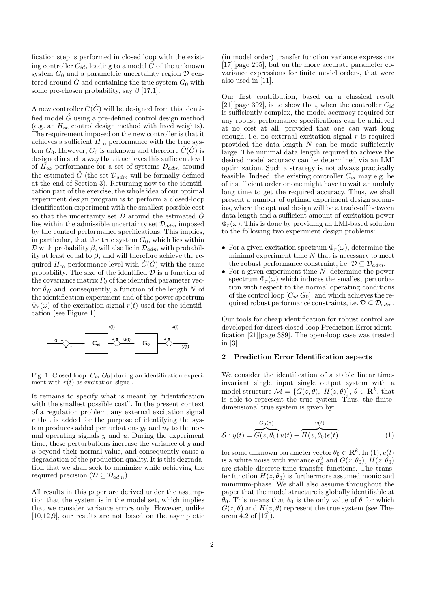fication step is performed in closed loop with the existing controller  $C_{id}$ , leading to a model  $\hat{G}$  of the unknown system  $G_0$  and a parametric uncertainty region  $D$  centered around  $\hat{G}$  and containing the true system  $G_0$  with some pre-chosen probability, say  $\beta$  [17,1].

A new controller  $\hat{C}(\hat{G})$  will be designed from this identified model  $\hat{G}$  using a pre-defined control design method (e.g. an  $H_{\infty}$  control design method with fixed weights). The requirement imposed on the new controller is that it achieves a sufficient  $H_{\infty}$  performance with the true system  $G_0$ . However,  $G_0$  is unknown and therefore  $\hat{C}(\hat{G})$  is designed in such a way that it achieves this sufficient level of  $H_{\infty}$  performance for a set of systems  $\mathcal{D}_{adm}$  around the estimated  $\tilde{G}$  (the set  $\mathcal{D}_{adm}$  will be formally defined at the end of Section 3). Returning now to the identification part of the exercise, the whole idea of our optimal experiment design program is to perform a closed-loop identification experiment with the smallest possible cost so that the uncertainty set  $\mathcal D$  around the estimated  $\hat G$ lies within the admissible uncertainty set  $\mathcal{D}_{adm}$  imposed by the control performance specifications. This implies, in particular, that the true system  $G_0$ , which lies within  $\mathcal D$  with probability  $\beta$ , will also lie in  $\mathcal D_{adm}$  with probability at least equal to  $\beta$ , and will therefore achieve the required  $H_{\infty}$  performance level with  $\hat{C}(\hat{G})$  with the same probability. The size of the identified  $\mathcal{D}$  is a function of the covariance matrix  $P_{\theta}$  of the identified parameter vector  $\hat{\theta}_N$  and, consequently, a function of the length N of the identification experiment and of the power spectrum  $\Phi_r(\omega)$  of the excitation signal  $r(t)$  used for the identification (see Figure 1).



Fig. 1. Closed loop  $[C_{id} G_0]$  during an identification experiment with  $r(t)$  as excitation signal.

It remains to specify what is meant by "identification with the smallest possible cost". In the present context of a regulation problem, any external excitation signal  $r$  that is added for the purpose of identifying the system produces added perturbations  $y_r$  and  $u_r$  to the normal operating signals  $u$  and  $u$ . During the experiment time, these perturbations increase the variance of  $y$  and u beyond their normal value, and consequently cause a degradation of the production quality. It is this degradation that we shall seek to minimize while achieving the required precision ( $\mathcal{D} \subseteq \mathcal{D}_{adm}$ ).

All results in this paper are derived under the assumption that the system is in the model set, which implies that we consider variance errors only. However, unlike [10,12,9], our results are not based on the asymptotic

(in model order) transfer function variance expressions [17][page 295], but on the more accurate parameter covariance expressions for finite model orders, that were also used in [11].

Our first contribution, based on a classical result [21][page 392], is to show that, when the controller  $C_{id}$ is sufficiently complex, the model accuracy required for any robust performance specifications can be achieved at no cost at all, provided that one can wait long enough, i.e. no external excitation signal  $r$  is required provided the data length  $N$  can be made sufficiently large. The minimal data length required to achieve the desired model accuracy can be determined via an LMI optimization. Such a strategy is not always practically feasible. Indeed, the existing controller  $C_{id}$  may e.g. be of insufficient order or one might have to wait an unduly long time to get the required accuracy. Thus, we shall present a number of optimal experiment design scenarios, where the optimal design will be a trade-off between data length and a sufficient amount of excitation power  $\Phi_r(\omega)$ . This is done by providing an LMI-based solution to the following two experiment design problems:

- For a given excitation spectrum  $\Phi_r(\omega)$ , determine the minimal experiment time  $N$  that is necessary to meet the robust performance constraint, i.e.  $\mathcal{D} \subseteq \mathcal{D}_{adm}$ .
- For a given experiment time  $N$ , determine the power spectrum  $\Phi_r(\omega)$  which induces the smallest perturbation with respect to the normal operating conditions of the control loop  $[C_{id} G_0]$ , and which achieves the required robust performance constraints, i.e.  $D \subseteq \mathcal{D}_{adm}$ .

Our tools for cheap identification for robust control are developed for direct closed-loop Prediction Error identification [21][page 389]. The open-loop case was treated in [3].

## 2 Prediction Error Identification aspects

We consider the identification of a stable linear timeinvariant single input single output system with a model structure  $\mathcal{M} = \{G(z, \theta), H(z, \theta)\}, \theta \in \mathbb{R}^k$ , that is able to represent the true system. Thus, the finitedimensional true system is given by:

$$
S: y(t) = \overbrace{G(z, \theta_0)}^{G_0(z)} u(t) + \overbrace{H(z, \theta_0)e(t)}^{v(t)}
$$
(1)

for some unknown parameter vector  $\theta_0 \in \mathbf{R}^k$ . In  $(1), e(t)$ is a white noise with variance  $\sigma_e^2$  and  $G(z, \theta_0)$ ,  $H(z, \theta_0)$ are stable discrete-time transfer functions. The transfer function  $H(z, \theta_0)$  is furthermore assumed monic and minimum-phase. We shall also assume throughout the paper that the model structure is globally identifiable at  $\theta_0$ . This means that  $\theta_0$  is the only value of  $\theta$  for which  $G(z, \theta)$  and  $H(z, \theta)$  represent the true system (see Theorem 4.2 of [17]).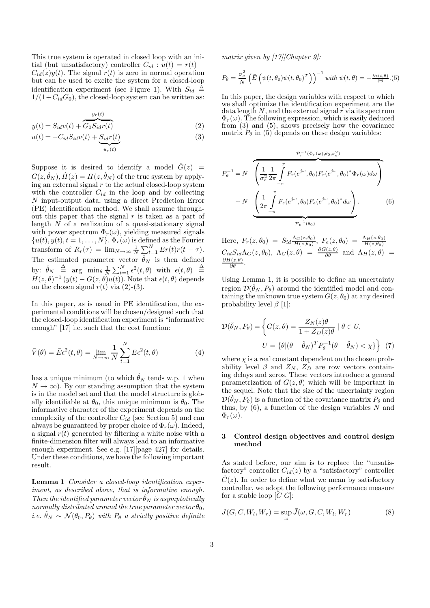This true system is operated in closed loop with an initial (but unsatisfactory) controller  $C_{id}$ :  $u(t) = r(t)$  –  $C_{id}(z)y(t)$ . The signal  $r(t)$  is zero in normal operation but can be used to excite the system for a closed-loop identification experiment (see Figure 1). With  $S_{id} \triangleq$  $1/(1+C_{id}G_0)$ , the closed-loop system can be written as:

$$
y(t) = S_{id}v(t) + \overbrace{G_0 S_{id}r(t)}^{y_r(t)}
$$
\n
$$
(2)
$$

$$
u(t) = -C_{id}S_{id}v(t) + S_{id}r(t)
$$
\n(3)

$$
u_r(t)
$$

Suppose it is desired to identify a model  $\hat{G}(z)$  =  $G(z, \hat{\theta}_N), \hat{H}(z) = H(z, \hat{\theta}_N)$  of the true system by applying an external signal  $r$  to the actual closed-loop system with the controller  $C_{id}$  in the loop and by collecting N input-output data, using a direct Prediction Error (PE) identification method. We shall assume throughout this paper that the signal  $r$  is taken as a part of length  $N$  of a realization of a quasi-stationary signal with power spectrum  $\Phi_r(\omega)$ , yielding measured signals  $\{u(t), y(t), t = 1, \ldots, N\}$ .  $\Phi_r(\omega)$  is defined as the Fourier transform of  $R_r(\tau) = \lim_{N \to \infty} \frac{1}{N} \sum_{t=1}^{N} Er(t)r(t-\tau)$ . The estimated parameter vector  $\hat{\theta}_N$  is then defined by:  $\hat{\theta}_N \stackrel{\Delta}{=} \arg \min_{\theta} \frac{1}{N} \sum_{t=1}^N \epsilon^2(t, \theta)$  with  $\epsilon(t, \theta) \stackrel{\Delta}{=}$  $H(z, \theta)^{-1} (y(t) - G(z, \theta)u(t))$ . Note that  $\epsilon(t, \theta)$  depends on the chosen signal  $r(t)$  via  $(2)-(3)$ .

In this paper, as is usual in PE identification, the experimental conditions will be chosen/designed such that the closed-loop identification experiment is "informative enough" [17] i.e. such that the cost function:

$$
\bar{V}(\theta) = \bar{E}\epsilon^2(t,\theta) = \lim_{N \to \infty} \frac{1}{N} \sum_{t=1}^{N} E\epsilon^2(t,\theta)
$$
\n(4)

has a unique minimum (to which  $\hat{\theta}_N$  tends w.p. 1 when  $N \to \infty$ ). By our standing assumption that the system is in the model set and that the model structure is globally identifiable at  $\theta_0$ , this unique minimum is  $\theta_0$ . The informative character of the experiment depends on the complexity of the controller  $C_{id}$  (see Section 5) and can always be guaranteed by proper choice of  $\Phi_r(\omega)$ . Indeed, a signal  $r(t)$  generated by filtering a white noise with a finite-dimension filter will always lead to an informative enough experiment. See e.g. [17][page 427] for details. Under these conditions, we have the following important result.

Lemma 1 Consider a closed-loop identification experiment, as described above, that is informative enough. Then the identified parameter vector  $\hat{\theta}_N$  is asymptotically normally distributed around the true parameter vector  $\theta_0$ , i.e.  $\hat{\theta}_N \sim \mathcal{N}(\theta_0, P_\theta)$  with  $P_\theta$  a strictly positive definite

matrix given by [17][Chapter 9]:

$$
P_{\theta} = \frac{\sigma_e^2}{N} \left( \bar{E} \left( \psi(t, \theta_0) \psi(t, \theta_0)^T \right) \right)^{-1} \text{ with } \psi(t, \theta) = -\frac{\partial \epsilon(t, \theta)}{\partial \theta}. (5)
$$

In this paper, the design variables with respect to which we shall optimize the identification experiment are the data length N, and the external signal  $\overline{r}$  via its spectrum  $\Phi_r(\omega)$ . The following expression, which is easily deduced from (3) and (5), shows precisely how the covariance matrix  $P_{\theta}$  in (5) depends on these design variables:

$$
P_{\theta}^{-1} = N \left( \frac{1}{\sigma_e^2} \frac{1}{2\pi} \int_{-\pi}^{\pi} F_r(e^{j\omega}, \theta_0) F_r(e^{j\omega}, \theta_0)^* \Phi_r(\omega) d\omega \right) + N \left( \frac{1}{2\pi} \int_{-\pi}^{\pi} F_e(e^{j\omega}, \theta_0) F_e(e^{j\omega}, \theta_0)^* d\omega \right).
$$
(6)

Here,  $F_r(z, \theta_0) = S_{id} \frac{\Lambda_G(z, \theta_0)}{H(z, \theta_0)}$  $\frac{\Lambda_{G}(z,\theta_{0})}{H(z,\theta_{0})},\; F_{e}(z,\theta_{0})\;=\;\frac{\Lambda_{H}(z,\theta_{0})}{H(z,\theta_{0})}\; C_{id}S_{id}\Lambda_G(z,\theta_0), \ \Lambda_G(z,\theta) = \frac{\partial G(z,\theta)}{\partial \theta} \text{ and } \Lambda_H(z,\theta) = \frac{\partial H(z,\theta)}{\partial \theta}.$ 

Using Lemma 1, it is possible to define an uncertainty region  $\mathcal{D}(\hat{\theta}_N, P_{\theta})$  around the identified model and containing the unknown true system  $G(z, \theta_0)$  at any desired probability level  $\beta$  [1]:

$$
\mathcal{D}(\hat{\theta}_N, P_{\theta}) = \left\{ G(z, \theta) = \frac{Z_N(z)\theta}{1 + Z_D(z)\theta} \mid \theta \in U, \right.U = \left\{ \theta \middle| (\theta - \hat{\theta}_N)^T P_{\theta}^{-1} (\theta - \hat{\theta}_N) < \chi \right\} \right\} \tag{7}
$$

where  $\chi$  is a real constant dependent on the chosen probability level  $\beta$  and  $Z_N$ ,  $Z_D$  are row vectors containing delays and zeros. These vectors introduce a general parametrization of  $G(z, \theta)$  which will be important in the sequel. Note that the size of the uncertainty region  $\mathcal{D}(\hat{\theta}_N, P_{\theta})$  is a function of the covariance matrix  $P_{\theta}$  and thus, by  $(6)$ , a function of the design variables N and  $\Phi_r(\omega)$ .

## 3 Control design objectives and control design method

As stated before, our aim is to replace the "unsatisfactory" controller  $C_{id}(z)$  by a "satisfactory" controller  $\hat{C}(z)$ . In order to define what we mean by satisfactory controller, we adopt the following performance measure for a stable loop  $[C G]$ :

$$
J(G, C, W_l, W_r) = \sup_{\omega} \bar{J}(\omega, G, C, W_l, W_r)
$$
\n(8)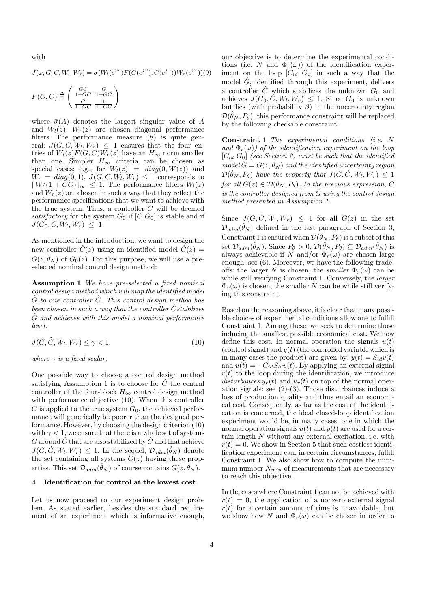with

$$
\bar{J}(\omega, G, C, W_l, W_r) = \bar{\sigma}(W_l(e^{j\omega})F(G(e^{j\omega}), C(e^{j\omega}))W_r(e^{j\omega}))
$$

$$
F(G, C) \stackrel{\Delta}{=} \left(\frac{\frac{GC}{1+GC} - \frac{G}{1+GC}}{\frac{C}{1+GC} - \frac{1}{1+GC}}\right)
$$

where  $\bar{\sigma}(A)$  denotes the largest singular value of A and  $W_l(z)$ ,  $W_r(z)$  are chosen diagonal performance filters. The performance measure (8) is quite general:  $J(G, C, W_l, W_r) \leq 1$  ensures that the four entries of  $W_l(z)F(G, C)W_r(z)$  have an  $H_{\infty}$  norm smaller than one. Simpler  $H_{\infty}$  criteria can be chosen as special cases; e.g., for  $W_l(z) = diag(0, W(z))$  and  $W_r = diag(0,1), J(G, C, W_l, W_r) \leq 1$  corresponds to  $\|W/(1 + CG)\|_{\infty} \leq 1$ . The performance filters  $W_l(z)$ and  $W_r(z)$  are chosen in such a way that they reflect the performance specifications that we want to achieve with the true system. Thus, a controller  $C$  will be deemed satisfactory for the system  $G_0$  if  $[C G_0]$  is stable and if  $J(G_0, C, W_l, W_r) \leq 1.$ 

As mentioned in the introduction, we want to design the new controller  $\hat{C}(z)$  using an identified model  $\hat{G}(z)$  =  $G(z, \hat{\theta}_N)$  of  $G_0(z)$ . For this purpose, we will use a preselected nominal control design method:

Assumption 1 We have pre-selected a fixed nominal control design method which will map the identified model  $\hat{G}$  to one controller  $\hat{C}$ . This control design method has been chosen in such a way that the controller  $\hat{C}$ stabilizes  $\hat{G}$  and achieves with this model a nominal performance level:

$$
J(\hat{G}, \hat{C}, W_l, W_r) \le \gamma < 1. \tag{10}
$$

where  $\gamma$  is a fixed scalar.

One possible way to choose a control design method satisfying Assumption 1 is to choose for  $\hat{C}$  the central controller of the four-block  $H_{\infty}$  control design method with performance objective (10). When this controller  $\ddot{C}$  is applied to the true system  $G_0$ , the achieved performance will generically be poorer than the designed performance. However, by choosing the design criterion (10) with  $\gamma < 1$ , we ensure that there is a whole set of systems G around  $\hat{G}$  that are also stabilized by  $\hat{C}$  and that achieve  $J(G, \hat{C}, W_l, W_r) \leq 1$ . In the sequel,  $\mathcal{D}_{adm}(\hat{\theta}_N)$  denote the set containing all systems  $G(z)$  having these properties. This set  $\mathcal{D}_{adm}(\hat{\theta}_N)$  of course contains  $G(z, \hat{\theta}_N)$ .

## 4 Identification for control at the lowest cost

Let us now proceed to our experiment design problem. As stated earlier, besides the standard requirement of an experiment which is informative enough, our objective is to determine the experimental conditions (i.e. N and  $\Phi_r(\omega)$ ) of the identification experiment on the loop  $[C_{id} \ G_0]$  in such a way that the model  $\hat{G}$ , identified through this experiment, delivers a controller  $\hat{C}$  which stabilizes the unknown  $G_0$  and achieves  $J(G_0, \hat{C}, W_l, W_r) \leq 1$ . Since  $G_0$  is unknown but lies (with probability  $\beta$ ) in the uncertainty region  $\mathcal{D}(\hat{\theta}_N, P_{\theta})$ , this performance constraint will be replaced by the following checkable constraint.

Constraint 1 The experimental conditions (i.e. N and  $\Phi_r(\omega)$  of the identification experiment on the loop  $[C_{id} G_0]$  (see Section 2) must be such that the identified model  $\hat{G} = G(z, \hat{\theta}_N)$  and the identified uncertainty region  $\mathcal{D}(\hat{\theta}_N, P_{\theta})$  have the property that  $J(G, \hat{C}, W_l, W_r) \leq 1$ for all  $G(z) \in \mathcal{D}(\hat{\theta}_N, P_{\theta})$ . In the previous expression,  $\hat{C}$ is the controller designed from  $\hat{G}$  using the control design method presented in Assumption 1.

Since  $J(G, \hat{C}, W_l, W_r) \leq 1$  for all  $G(z)$  in the set  $\mathcal{D}_{adm}(\hat{\theta}_N)$  defined in the last paragraph of Section 3, Constraint 1 is ensured when  $\mathcal{D}(\hat{\theta}_N, P_{\theta})$  is a subset of this set  $\mathcal{D}_{adm}(\hat{\theta}_N)$ . Since  $P_{\theta} > 0$ ,  $\mathcal{D}(\hat{\theta}_N, P_{\theta}) \subseteq \mathcal{D}_{adm}(\hat{\theta}_N)$  is always achievable if N and/or  $\Phi_r(\omega)$  are chosen large enough: see (6). Moreover, we have the following tradeoffs: the larger N is chosen, the *smaller*  $\Phi_r(\omega)$  can be while still verifying Constraint 1. Conversely, the larger  $\Phi_r(\omega)$  is chosen, the smaller N can be while still verifying this constraint.

Based on the reasoning above, it is clear that many possible choices of experimental conditions allow one to fulfill Constraint 1. Among these, we seek to determine those inducing the smallest possible economical cost. We now define this cost. In normal operation the signals  $u(t)$ (control signal) and  $y(t)$  (the controlled variable which is in many cases the product) are given by:  $y(t) = S_{id}v(t)$ and  $u(t) = -C_{id}S_{id}v(t)$ . By applying an external signal  $r(t)$  to the loop during the identification, we introduce disturbances  $y_r(t)$  and  $u_r(t)$  on top of the normal operation signals: see (2)-(3). Those disturbances induce a loss of production quality and thus entail an economical cost. Consequently, as far as the cost of the identification is concerned, the ideal closed-loop identification experiment would be, in many cases, one in which the normal operation signals  $u(t)$  and  $y(t)$  are used for a certain length N without any external excitation, i.e. with  $r(t) = 0$ . We show in Section 5 that such costless identification experiment can, in certain circumstances, fulfill Constraint 1. We also show how to compute the minimum number  $N_{min}$  of measurements that are necessary to reach this objective.

In the cases where Constraint 1 can not be achieved with  $r(t) = 0$ , the application of a nonzero external signal  $r(t)$  for a certain amount of time is unavoidable, but we show how N and  $\Phi_r(\omega)$  can be chosen in order to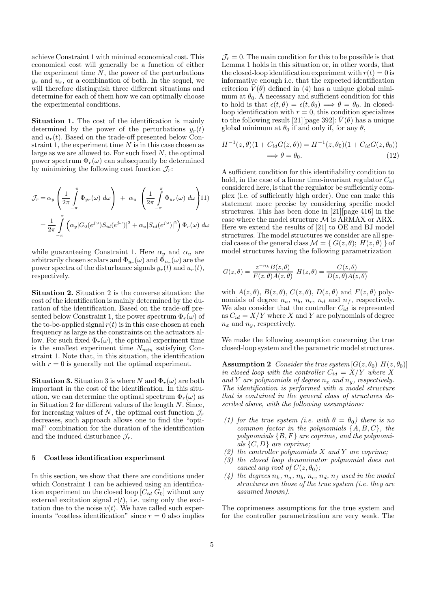achieve Constraint 1 with minimal economical cost. This economical cost will generally be a function of either the experiment time  $N$ , the power of the perturbations  $y_r$  and  $u_r$ , or a combination of both. In the sequel, we will therefore distinguish three different situations and determine for each of them how we can optimally choose the experimental conditions.

Situation 1. The cost of the identification is mainly determined by the power of the perturbations  $y_r(t)$ and  $u_r(t)$ . Based on the trade-off presented below Constraint 1, the experiment time  $N$  is in this case chosen as large as we are allowed to. For such fixed  $N$ , the optimal power spectrum  $\Phi_r(\omega)$  can subsequently be determined by minimizing the following cost function  $\mathcal{J}_r$ :

$$
\mathcal{J}_r = \alpha_y \left( \frac{1}{2\pi} \int_{-\pi}^{\pi} \Phi_{y_r}(\omega) \, d\omega \right) + \alpha_u \left( \frac{1}{2\pi} \int_{-\pi}^{\pi} \Phi_{u_r}(\omega) \, d\omega \right)
$$

$$
= \frac{1}{2\pi} \int_{-\pi}^{\pi} \left( \alpha_y |G_0(e^{j\omega}) S_{id}(e^{j\omega})|^2 + \alpha_u |S_{id}(e^{j\omega})|^2 \right) \Phi_r(\omega) \, d\omega
$$

while guaranteeing Constraint 1. Here  $\alpha_y$  and  $\alpha_u$  are arbitrarily chosen scalars and  $\Phi_{y_r}(\omega)$  and  $\Phi_{u_r}(\omega)$  are the power spectra of the disturbance signals  $y_r(t)$  and  $u_r(t)$ , respectively.

Situation 2. Situation 2 is the converse situation: the cost of the identification is mainly determined by the duration of the identification. Based on the trade-off presented below Constraint 1, the power spectrum  $\Phi_r(\omega)$  of the to-be-applied signal  $r(t)$  is in this case chosen at each frequency as large as the constraints on the actuators allow. For such fixed  $\Phi_r(\omega)$ , the optimal experiment time is the smallest experiment time  $N_{min}$  satisfying Constraint 1. Note that, in this situation, the identification with  $r = 0$  is generally not the optimal experiment.

**Situation 3.** Situation 3 is where N and  $\Phi_r(\omega)$  are both important in the cost of the identification. In this situation, we can determine the optimal spectrum  $\Phi_r(\omega)$  as in Situation 2 for different values of the length N. Since, for increasing values of N, the optimal cost function  $\mathcal{J}_r$ decreases, such approach allows one to find the "optimal" combination for the duration of the identification and the induced disturbance  $\mathcal{J}_r$ .

## 5 Costless identification experiment

In this section, we show that there are conditions under which Constraint 1 can be achieved using an identification experiment on the closed loop  $[C_{id} G_0]$  without any external excitation signal  $r(t)$ , i.e. using only the excitation due to the noise  $v(t)$ . We have called such experiments "costless identification" since  $r = 0$  also implies

 $\mathcal{J}_r = 0$ . The main condition for this to be possible is that Lemma 1 holds in this situation or, in other words, that the closed-loop identification experiment with  $r(t) = 0$  is informative enough i.e. that the expected identification criterion  $V(\theta)$  defined in (4) has a unique global minimum at  $\theta_0$ . A necessary and sufficient condition for this to hold is that  $\epsilon(t, \theta) = \epsilon(t, \theta_0) \implies \theta = \theta_0$ . In closedloop identification with  $r = 0$ , this condition specializes to the following result [21][page 392]:  $\bar{V}(\theta)$  has a unique global minimum at  $\theta_0$  if and only if, for any  $\theta$ ,

$$
H^{-1}(z,\theta)(1+C_{id}G(z,\theta)) = H^{-1}(z,\theta_0)(1+C_{id}G(z,\theta_0))
$$
  

$$
\implies \theta = \theta_0.
$$
 (12)

A sufficient condition for this identifiability condition to hold, in the case of a linear time-invariant regulator  $C_{id}$ considered here, is that the regulator be sufficiently complex (i.e. of sufficiently high order). One can make this statement more precise by considering specific model structures. This has been done in [21][page 416] in the case where the model structure  $M$  is ARMAX or ARX. Here we extend the results of [21] to OE and BJ model structures. The model structures we consider are all special cases of the general class  $\mathcal{M} = \{ G(z, \theta); H(z, \theta) \}$  of model structures having the following parametrization

$$
G(z,\theta) = \frac{z^{-n_k}B(z,\theta)}{F(z,\theta)A(z,\theta)} \ H(z,\theta) = \frac{C(z,\theta)}{D(z,\theta)A(z,\theta)}
$$

with  $A(z, \theta), B(z, \theta), C(z, \theta), D(z, \theta)$  and  $F(z, \theta)$  polynomials of degree  $n_a$ ,  $n_b$ ,  $n_c$ ,  $n_d$  and  $n_f$ , respectively. We also consider that the controller  $C_{id}$  is represented as  $C_{id} = X/Y$  where X and Y are polynomials of degree  $n_x$  and  $n_y$ , respectively.

We make the following assumption concerning the true closed-loop system and the parametric model structures.

**Assumption 2** Consider the true system  $[G(z, \theta_0), H(z, \theta_0)]$ in closed loop with the controller  $C_{id} = X/Y$  where X and Y are polynomials of degree  $n_x$  and  $n_y$ , respectively. The identification is performed with a model structure that is contained in the general class of structures described above, with the following assumptions:

- (1) for the true system (i.e. with  $\theta = \theta_0$ ) there is no common factor in the polynomials  $\{A, B, C\}$ , the polynomials  $\{B, F\}$  are coprime, and the polynomials  $\{C, D\}$  are coprime;
- (2) the controller polynomials  $X$  and  $Y$  are coprime;
- (3) the closed loop denominator polynomial does not cancel any root of  $C(z, \theta_0)$ ;
- (4) the degrees  $n_k$ ,  $n_a$ ,  $n_b$ ,  $n_c$ ,  $n_d$ ,  $n_f$  used in the model structures are those of the true system (i.e. they are assumed known).

The coprimeness assumptions for the true system and for the controller parametrization are very weak. The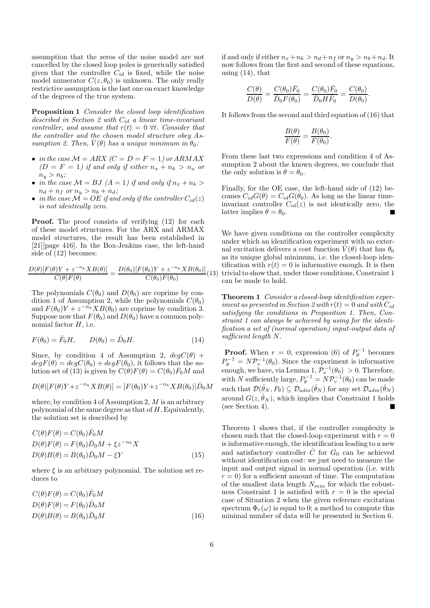assumption that the zeros of the noise model are not cancelled by the closed loop poles is generically satisfied given that the controller  $C_{id}$  is fixed, while the noise model numerator  $C(z, \theta_0)$  is unknown. The only really restrictive assumption is the last one on exact knowledge of the degrees of the true system.

Proposition 1 Consider the closed loop identification described in Section 2 with  $C_{id}$  a linear time-invariant controller, and assume that  $r(t) = 0$   $\forall t$ . Consider that the controller and the chosen model structure obey Assumption 2. Then,  $V(\theta)$  has a unique minimum in  $\theta_0$ :

- in the case  $\mathcal{M} = ARX$  ( $C = D = F = 1$ ) or ARMAX  $(D = F = 1)$  if and only if either  $n_x + n_k > n_a$  or  $n_y > n_b;$
- in the case  $\mathcal{M} = BJ(A = 1)$  if and only if  $n_x + n_k >$  $n_d + n_f$  or  $n_y > n_b + n_d$ ;
- in the case  $\mathcal{M} = OE$  if and only if the controller  $C_{id}(z)$ is not identically zero.

Proof. The proof consists of verifying  $(12)$  for each of these model structures. For the ARX and ARMAX model structures, the result has been established in [21][page 416]. In the Box-Jenkins case, the left-hand side of (12) becomes:

$$
\frac{D(\theta)[F(\theta)Y + z^{-n_k}XB(\theta)]}{C(\theta)F(\theta)} = \frac{D(\theta_0)[F(\theta_0)Y + z^{-n_k}XB(\theta_0)]}{C(\theta_0)F(\theta_0)}(13)
$$

The polynomials  $C(\theta_0)$  and  $D(\theta_0)$  are coprime by condition 1 of Assumption 2, while the polynomials  $C(\theta_0)$ and  $F(\theta_0)Y + z^{-n_k}XB(\theta_0)$  are coprime by condition 3. Suppose now that  $F(\theta_0)$  and  $D(\theta_0)$  have a common polynomial factor  $H$ , i.e.

$$
F(\theta_0) = \bar{F}_0 H, \qquad D(\theta_0) = \bar{D}_0 H. \tag{14}
$$

Since, by condition 4 of Assumption 2,  $deoC(\theta)$  +  $deg F(\theta) = deg C(\theta_0) + deg F(\theta_0)$ , it follows that the solution set of (13) is given by  $\ddot{C}(\dot{\theta})F(\theta) = C(\theta_0)\bar{F}_0M$  and

$$
D(\theta)[F(\theta)Y + z^{-n_k}XB(\theta)] = [F(\theta_0)Y + z^{-n_k}XB(\theta_0)]\overline{D}_0M
$$

where, by condition  $4$  of Assumption  $2, M$  is an arbitrary polynomial of the same degree as that of  $H$ . Equivalently, the solution set is described by

$$
C(\theta)F(\theta) = C(\theta_0)\bar{F}_0M
$$
  
\n
$$
D(\theta)F(\theta) = F(\theta_0)\bar{D}_0M + \xi z^{-n_k}X
$$
  
\n
$$
D(\theta)B(\theta) = B(\theta_0)\bar{D}_0M - \xi Y
$$
\n(15)

where  $\xi$  is an arbitrary polynomial. The solution set reduces to

$$
C(\theta)F(\theta) = C(\theta_0)\bar{F}_0M
$$
  
\n
$$
D(\theta)F(\theta) = F(\theta_0)\bar{D}_0M
$$
  
\n
$$
D(\theta)B(\theta) = B(\theta_0)\bar{D}_0M
$$
\n(16)

if and only if either  $n_x+n_k > n_d+n_f$  or  $n_y > n_b+n_d$ . It now follows from the first and second of these equations, using  $(14)$ , that

$$
\frac{C(\theta)}{D(\theta)} = \frac{C(\theta_0)\bar{F}_0}{\bar{D}_0F(\theta_0)} = \frac{C(\theta_0)\bar{F}_0}{\bar{D}_0H\bar{F}_0} = \frac{C(\theta_0)}{D(\theta_0)}.
$$

It follows from the second and third equation of (16) that

$$
\frac{B(\theta)}{F(\theta)} = \frac{B(\theta_0)}{F(\theta_0)}.
$$

From these last two expressions and condition 4 of Assumption 2 about the known degrees, we conclude that the only solution is  $\theta = \theta_0$ .

Finally, for the OE case, the left-hand side of (12) becomes  $C_{id}G(\theta) = C_{id}G(\theta_0)$ . As long as the linear timeinvariant controller  $C_{id}(z)$  is not identically zero, the latter implies  $\theta = \theta_0$ .

We have given conditions on the controller complexity under which an identification experiment with no external excitation delivers a cost function  $\bar{V}(\theta)$  that has  $\theta_0$ as its unique global minimum, i.e. the closed-loop identification with  $r(t) = 0$  is informative enough. It is then trivial to show that, under those conditions, Constraint 1 can be made to hold.

Theorem 1 Consider a closed-loop identification experiment as presented in Section 2 with  $r(t) = 0$  and with  $C_{id}$ satisfying the conditions in Proposition 1. Then, Constraint 1 can always be achieved by using for the identification a set of (normal operation) input-output data of sufficient length N.

**Proof.** When  $r = 0$ , expression (6) of  $P_{\theta}^{-1}$  becomes  $P_{\theta}^{-1} = N \mathcal{P}_{v}^{-1}(\theta_0)$ . Since the experiment is informative enough, we have, via Lemma 1,  $\mathcal{P}_v^{-1}(\theta_0) > 0$ . Therefore, with N sufficiently large,  $P_{\theta}^{-1} = N \mathcal{P}_v^{-1}(\theta_0)$  can be made such that  $\mathcal{D}(\hat{\theta}_N, P_{\theta}) \subseteq \mathcal{D}_{adm}(\hat{\theta}_N)$  for any set  $\mathcal{D}_{adm}(\hat{\theta}_N)$ around  $G(z, \hat{\theta}_N)$ , which implies that Constraint 1 holds (see Section 4).

Theorem 1 shows that, if the controller complexity is chosen such that the closed-loop experiment with  $r = 0$ is informative enough, the identification leading to a new and satisfactory controller  $\hat{C}$  for  $G_0$  can be achieved without identification cost: we just need to measure the input and output signal in normal operation (i.e. with  $r = 0$ ) for a sufficient amount of time. The computation of the smallest data length  $N_{min}$  for which the robustness Constraint 1 is satisfied with  $r = 0$  is the special case of Situation 2 when the given reference excitation spectrum  $\Phi_r(\omega)$  is equal to 0; a method to compute this minimal number of data will be presented in Section 6.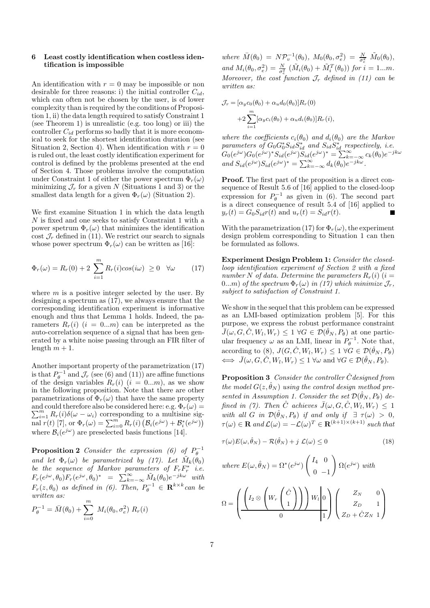## 6 Least costly identification when costless identification is impossible

An identification with  $r = 0$  may be impossible or non desirable for three reasons: i) the initial controller  $C_{id}$ , which can often not be chosen by the user, is of lower complexity than is required by the conditions of Proposition 1, ii) the data length required to satisfy Constraint 1 (see Theorem 1) is unrealistic (e.g. too long) or iii) the controller  $C_{id}$  performs so badly that it is more economical to seek for the shortest identification duration (see Situation 2, Section 4). When identification with  $r = 0$ is ruled out, the least costly identification experiment for control is defined by the problems presented at the end of Section 4. Those problems involve the computation under Constraint 1 of either the power spectrum  $\Phi_r(\omega)$ minimizing  $\mathcal{J}_r$  for a given N (Situations 1 and 3) or the smallest data length for a given  $\Phi_r(\omega)$  (Situation 2).

We first examine Situation 1 in which the data length N is fixed and one seeks to satisfy Constraint 1 with a power spetrum  $\Phi_r(\omega)$  that minimizes the identification cost  $\mathcal{J}_r$  defined in (11). We restrict our search to signals whose power spectrum  $\Phi_r(\omega)$  can be written as [16]:

$$
\Phi_r(\omega) = R_r(0) + 2 \sum_{i=1}^m R_r(i) \cos(i\omega) \ge 0 \quad \forall \omega \tag{17}
$$

where  $m$  is a positive integer selected by the user. By designing a spectrum as (17), we always ensure that the corresponding identification experiment is informative enough and thus that Lemma 1 holds. Indeed, the parameters  $R_r(i)$  (i = 0...m) can be interpreted as the auto-correlation sequence of a signal that has been generated by a white noise passing through an FIR filter of length  $m + 1$ .

Another important property of the parametrization (17) is that  $P_{\theta}^{-1}$  and  $\mathcal{J}_r$  (see (6) and (11)) are affine functions of the design variables  $R_r(i)$   $(i = 0...m)$ , as we show in the following proposition. Note that there are other parametrizations of  $\Phi_r(\omega)$  that have the same property and could therefore also be considered here: e.g.  $\Phi_r(\omega) = \sum_{i=1}^m R_r(i) \delta(\omega - \omega_i)$  corresponding to a multisine sig- $\sum_{i=1}^{m} R_r(i) \delta(\omega - \omega_i)$  corresponding to a multisine signal  $r(t)$  [7], or  $\Phi_r(\omega) = \sum_{i=0}^m R_r(i) \left( \mathcal{B}_i(e^{j\omega}) + \mathcal{B}_i^*(e^{j\omega}) \right)$ where  $\mathcal{B}_i(e^{j\omega})$  are preselected basis functions [14].

**Proposition 2** Consider the expression (6) of  $P_{\theta}^{-1}$ and let  $\Phi_r(\omega)$  be parametrized by (17). Let  $\tilde{M}_k(\theta_0)$ be the sequence of Markov parameters of  $F_r F_r^*$  i.e.  $F_r(e^{j\omega}, \theta_0) F_r(e^{j\omega}, \theta_0)^* = \sum_{k=-\infty}^{\infty} \tilde{M}_k(\theta_0) e^{-j k\omega}$  with  $F_r(z, \theta_0)$  as defined in (6). Then,  $P_\theta^{-1} \in \mathbb{R}^{k \times k}$  can be written as:

$$
P_{\theta}^{-1} = \bar{M}(\theta_0) + \sum_{i=0}^{m} M_i(\theta_0, \sigma_e^2) R_r(i)
$$

where  $\overline{M}(\theta_0) = N \mathcal{P}_v^{-1}(\theta_0), M_0(\theta_0, \sigma_e^2) = \frac{N}{\sigma_e^2} \widetilde{M}_0(\theta_0),$ and  $M_i(\theta_0, \sigma_e^2) = \frac{N}{\sigma_e^2} (\tilde{M}_i(\theta_0) + \tilde{M}_i^T(\theta_0))$  for  $i = 1...m$ . Moreover, the cost function  $\mathcal{J}_r$  defined in (11) can be written as:

$$
\mathcal{J}_r = [\alpha_y c_0(\theta_0) + \alpha_u d_0(\theta_0)] R_r(0)
$$

$$
+ 2 \sum_{i=1}^m [\alpha_y c_i(\theta_0) + \alpha_u d_i(\theta_0)] R_r(i),
$$

where the coefficients  $c_i(\theta_0)$  and  $d_i(\theta_0)$  are the Markov parameters of  $G_0G_0^*S_{id}\overset{\sim}{S_{id}^*}$  and  $S_{id}\overset{\sim}{S_{id}^*}$  respectively, i.e.  $G_0(e^{j\omega})G_0(e^{j\omega})^*S_{id}(e^{j\omega})\H_{id}(e^{j\omega})^* = \sum_{k=-\infty}^{\infty} c_k(\theta_0)e^{-jk\omega}$ and  $S_{id}(e^{j\omega})S_{id}(e^{j\omega})^* = \sum_{k=-\infty}^{\infty} d_k(\theta_0)e^{-jk\omega}$ .

Proof. The first part of the proposition is a direct consequence of Result 5.6 of [16] applied to the closed-loop expression for  $P_{\theta}^{-1}$  as given in (6). The second part is a direct consequence of result 5.4 of [16] applied to  $y_r(t) = G_0 S_{id} r(t)$  and  $u_r(t) = S_{id} r(t)$ .

With the parametrization (17) for  $\Phi_r(\omega)$ , the experiment design problem corresponding to Situation 1 can then be formulated as follows.

Experiment Design Problem 1: Consider the closedloop identification experiment of Section 2 with a fixed number N of data. Determine the parameters  $R_r(i)$  (i = 0...m) of the spectrum  $\Phi_r(\omega)$  in (17) which minimize  $\mathcal{J}_r$ , subject to satisfaction of Constraint 1.

We show in the sequel that this problem can be expressed as an LMI-based optimization problem [5]. For this purpose, we express the robust performance constraint  $\bar{J}(\omega, G, \hat{C}, W_l, W_r) \leq 1 \ \forall G \in \mathcal{D}(\hat{\theta}_N, P_{\theta})$  at one particular frequency  $\omega$  as an LMI, linear in  $P_{\theta}^{-1}$ . Note that, according to (8),  $J(G, \hat{C}, W_l, W_r) \leq 1 \ \forall G \in \mathcal{D}(\hat{\theta}_N, P_{\theta})$  $\iff \bar{J}(\omega, G, \hat{C}, W_l, W_r) \leq 1 \,\forall \omega \text{ and } \forall G \in \mathcal{D}(\hat{\theta}_N, P_{\theta}).$ 

**Proposition 3** Consider the controller  $\hat{C}$  designed from the model  $G(z, \hat{\theta}_N)$  using the control design method presented in Assumption 1. Consider the set  $\mathcal{D}(\hat{\theta}_N, P_{\theta})$  defined in (7). Then  $\hat{C}$  achieves  $\bar{J}(\omega, G, \hat{C}, W_l, W_r) \leq 1$ with all G in  $\mathcal{D}(\hat{\theta}_N, P_{\theta})$  if and only if  $\exists \tau(\omega) > 0$ ,  $\tau(\omega) \in \mathbf{R}$  and  $\mathcal{L}(\omega) = -\mathcal{L}(\omega)^T \in \mathbf{R}^{(k+1)\times (k+1)}$  such that

$$
\tau(\omega)E(\omega,\hat{\theta}_N) - \mathcal{R}(\hat{\theta}_N) + j \mathcal{L}(\omega) \le 0
$$
\n(18)

where 
$$
E(\omega, \hat{\theta}_N) = \Omega^*(e^{j\omega}) \begin{pmatrix} I_4 & 0 \\ 0 & -1 \end{pmatrix} \Omega(e^{j\omega})
$$
 with

$$
\Omega = \left( \frac{\left( I_2 \otimes \left( W_r \begin{pmatrix} \hat{C} \\ 1 \end{pmatrix} \right) \right) W_l \middle| 0}{0} \right) \left( \begin{array}{cc} Z_N & 0 \\ Z_D & 1 \\ Z_D + \hat{C} Z_N & 1 \end{array} \right)
$$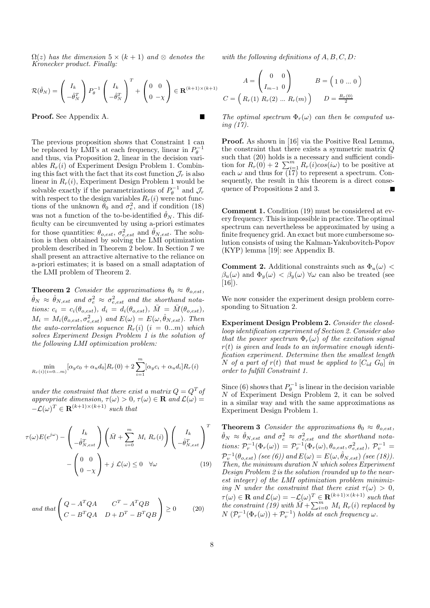$\Omega(z)$  has the dimension  $5 \times (k+1)$  and  $\otimes$  denotes the Kronecker product. Finally:

$$
\mathcal{R}(\hat{\theta}_N) = \begin{pmatrix} I_k \\ -\hat{\theta}_N^T \end{pmatrix} P_{\theta}^{-1} \begin{pmatrix} I_k \\ -\hat{\theta}_N^T \end{pmatrix}^T + \begin{pmatrix} 0 & 0 \\ 0 & -\chi \end{pmatrix} \in \mathbf{R}^{(k+1)\times (k+1)}
$$

Proof. See Appendix A.

The previous proposition shows that Constraint 1 can be replaced by LMI's at each frequency, linear in  $P_{\theta}^{-1}$ and thus, via Proposition 2, linear in the decision variables  $R_r(i)$  of Experiment Design Problem 1. Combining this fact with the fact that its cost function  $\mathcal{J}_r$  is also linear in  $R_r(i)$ , Experiment Design Problem 1 would be solvable exactly if the parametrizations of  $P_{\theta}^{-1}$  and  $\mathcal{J}_r$ with respect to the design variables  $R_r(i)$  were not functions of the unknown  $\hat{\theta}_0$  and  $\sigma_e^2$ , and if condition (18) was not a function of the to-be-identified  $\hat{\theta}_N$ . This difficulty can be circumvented by using a-priori estimates for those quantities:  $\theta_{o,est}$ ,  $\sigma_{e,est}^2$  and  $\hat{\theta}_{N,est}$ . The solution is then obtained by solving the LMI optimization problem described in Theorem 2 below. In Section 7 we shall present an attractive alternative to the reliance on a-priori estimates; it is based on a small adaptation of the LMI problem of Theorem 2.

**Theorem 2** Consider the approximations  $\theta_0 \approx \theta_{o,est}$ ,  $\hat{\theta}_N \approx \hat{\theta}_{N,est}$  and  $\sigma_e^2 \approx \sigma_{e,est}^2$  and the shorthand notations:  $c_i = c_i(\theta_{o,est}), d_i = d_i(\theta_{o,est}), \overline{M} = \overline{M}(\theta_{o,est}),$  $M_i = M_i(\theta_{o,est}, \sigma_{e,est}^2)$  and  $E(\omega) = E(\omega, \hat{\theta}_{N,est})$ . Then the auto-correlation sequence  $R_r(i)$   $(i = 0...m)$  which solves Experiment Design Problem 1 is the solution of the following LMI optimization problem:

$$
\min_{R_r(i)(i=0...m)}[\alpha_y c_0 + \alpha_u d_0]R_r(0) + 2\sum_{i=1}^m[\alpha_y c_i + \alpha_u d_i]R_r(i)
$$

under the constraint that there exist a matrix  $Q = Q^T$  of appropriate dimension,  $\tau(\omega) > 0$ ,  $\tau(\omega) \in \mathbf{R}$  and  $\mathcal{L}(\omega) =$  $-\mathcal{L}(\omega)^T \in \mathbf{R}^{(k+1)\times (k+1)}$  such that

$$
\tau(\omega) E(e^{j\omega}) - \begin{pmatrix} I_k \\ -\hat{\theta}_{N,est}^T \end{pmatrix} \left( \bar{M} + \sum_{i=0}^m M_i R_r(i) \right) \begin{pmatrix} I_k \\ -\hat{\theta}_{N,est}^T \end{pmatrix}^T - \begin{pmatrix} 0 & 0 \\ 0 & -\chi \end{pmatrix} + j \mathcal{L}(\omega) \le 0 \quad \forall \omega
$$
\n(19)

and that 
$$
\begin{pmatrix} Q - A^T Q A & C^T - A^T Q B \\ C - B^T Q A & D + D^T - B^T Q B \end{pmatrix} \ge 0
$$
 (20)

with the following definitions of  $A, B, C, D$ :

 $\mathcal C$ 

$$
A = \begin{pmatrix} 0 & 0 \\ I_{m-1} & 0 \end{pmatrix} \qquad B = \begin{pmatrix} 1 & 0 & \dots & 0 \end{pmatrix}
$$

$$
= \begin{pmatrix} R_r(1) & R_r(2) & \dots & R_r(m) \end{pmatrix} \qquad D = \frac{R_r(0)}{2}
$$

The optimal spectrum  $\Phi_r(\omega)$  can then be computed using (17).

Proof. As shown in [16] via the Positive Real Lemma, the constraint that there exists a symmetric matrix Q such that (20) holds is a necessary and sufficient condition for  $R_r(0) + 2 \sum_{i=1}^{m} R_r(i) \cos(i\omega)$  to be positive at each  $\omega$  and thus for (17) to represent a spectrum. Consequently, the result in this theorem is a direct consequence of Propositions 2 and 3.

Comment 1. Condition (19) must be considered at every frequency. This is impossible in practice. The optimal spectrum can nevertheless be approximated by using a finite frequency grid. An exact but more cumbersome solution consists of using the Kalman-Yakubovitch-Popov (KYP) lemma [19]: see Appendix B.

**Comment 2.** Additional constraints such as  $\Phi_u(\omega)$  <  $\beta_u(\omega)$  and  $\Phi_y(\omega) < \beta_y(\omega)$   $\forall \omega$  can also be treated (see [16]).

We now consider the experiment design problem corresponding to Situation 2.

Experiment Design Problem 2. Consider the closedloop identification experiment of Section 2. Consider also that the power spectrum  $\Phi_r(\omega)$  of the excitation signal  $r(t)$  is given and leads to an informative enough identification experiment. Determine then the smallest length N of a part of  $r(t)$  that must be applied to  $[C_{id}, G_0]$  in order to fulfill Constraint 1.

Since (6) shows that  $P_{\theta}^{-1}$  is linear in the decision variable N of Experiment Design Problem 2, it can be solved in a similar way and with the same approximations as Experiment Design Problem 1.

**Theorem 3** Consider the approximations  $\theta_0 \approx \theta_{o,est}$ ,  $\hat{\theta}_N \, \approx \, \hat{\theta}_{N,est} \,$  and  $\sigma_e^2 \, \approx \, \sigma_{e,est}^2 \,$  and the shorthand notations:  $\mathcal{P}_r^{-1}(\Phi_r(\omega)) = \mathcal{P}_r^{-1}(\Phi_r(\omega), \theta_{o,est}, \sigma_{e,est}^2), \mathcal{P}_v^{-1} =$  $\mathcal{P}_v^{-1}(\theta_{o,est})$  (see (6)) and  $E(\omega) = E(\omega, \hat{\theta}_{N,est})$  (see (18)). Then, the minimum duration N which solves Experiment Design Problem 2 is the solution (rounded up to the nearest integer) of the LMI optimization problem minimizing N under the constraint that there exist  $\tau(\omega) > 0$ ,  $\tau(\omega) \in \mathbf{R}$  and  $\mathcal{L}(\omega) = -\mathcal{L}(\omega)^T \in \mathbf{R}^{(k+1)\times (k+1)}$  such that the constraint (19) with  $\vec{M} + \sum_{i=0}^{m} M_i R_r(i)$  replaced by  $N(\mathcal{P}_r^{-1}(\Phi_r(\omega)) + \mathcal{P}_v^{-1})$  holds at each frequency  $\omega$ .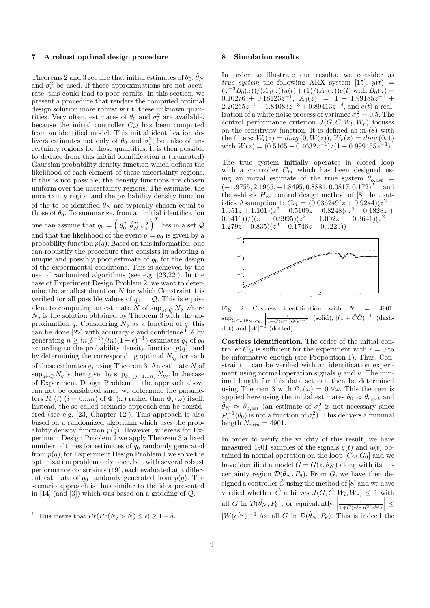#### 7 A robust optimal design procedure

Theorems 2 and 3 require that initial estimates of  $\theta_0, \hat{\theta}_N$ and  $\sigma_e^2$  be used. If those approximations are not accurate, this could lead to poor results. In this section, we present a procedure that renders the computed optimal design solution more robust w.r.t. these unknown quantities. Very often, estimates of  $\theta_0$  and  $\sigma_e^2$  are available, because the initial controller  $C_{id}$  has been computed from an identified model. This initial identification delivers estimates not only of  $\theta_0$  and  $\sigma_e^2$ , but also of uncertainty regions for those quantities. It is then possible to deduce from this initial identification a (truncated) Gaussian probability density function which defines the likelihood of each element of these uncertainty regions. If this is not possible, the density functions are chosen uniform over the uncertainty regions. The estimate, the uncertainty region and the probability density function of the to-be-identified  $\hat{\theta}_N$  are typically chosen equal to those of  $\theta_0$ . To summarize, from an initial identification one can assume that  $q_0 = \left(\begin{smallmatrix} \theta_0^T & \hat{\theta}_N^T & \sigma_e^2 \end{smallmatrix}\right)^T$  lies in a set  $\mathcal Q$ and that the likelihood of the event  $q = q_0$  is given by a probability function  $p(q)$ . Based on this information, one can robustify the procedure that consists in adopting a unique and possibly poor estimate of  $q_0$  for the design of the experimental conditions. This is achieved by the use of randomized algorithms (see e.g. [23,22]). In the case of Experiment Design Problem 2, we want to determine the smallest duration  $N$  for which Constraint 1 is verified for all possible values of  $q_0$  in  $\mathcal Q$ . This is equivalent to computing an estimate  $\hat{N}$  of  $\sup_{q\in\mathcal{Q}}N_q$  where  $N_q$  is the solution obtained by Theorem 3 with the approximation q. Considering  $N_q$  as a function of q, this can be done [22] with accuracy  $\epsilon$  and confidence<sup>1</sup>  $\delta$  by generating  $n \geq \ln(\delta^{-1})/\ln((1-\epsilon)^{-1})$  estimates  $q_j$  of  $q_0$ according to the probability density function  $p(q)$ , and by determining the corresponding optimal  $N_{q_j}$  for each of these estimates  $q_j$  using Theorem 3. An estimate  $\hat{N}$  of  $\sup_{q\in\mathcal{Q}}N_q$  is then given by  $\sup_{q_j}\left(j=1...n\right)N_{q_j}.$  In the case of Experiment Design Problem 1, the approach above can not be considered since we determine the parameters  $R_r(i)$   $(i = 0...m)$  of  $\Phi_r(\omega)$  rather than  $\Phi_r(\omega)$  itself. Instead, the so-called scenario-approach can be considered (see e.g. [23, Chapter 12]). This approach is also based on a randomized algorithm which uses the probability density function  $p(q)$ . However, whereas for Experiment Design Problem 2 we apply Theorem 3 a fixed number of times for estimates of  $q_0$  randomly generated from  $p(q)$ , for Experiment Design Problem 1 we solve the optimization problem only once, but with several robust performance constraints (19), each evaluated at a different estimate of  $q_0$  randomly generated from  $p(q)$ . The scenario approach is thus similar to the idea presented in [14] (and [3]) which was based on a gridding of  $Q$ .

#### 8 Simulation results

In order to illustrate our results, we consider as true system the following ARX system [15]:  $y(t)$  =  $(z^{-3}B_0(z))/(A_0(z))u(t)+(1)/(A_0(z))e(t)$  with  $B_0(z)$  $\overline{0.10276} + \overline{0.18123z^{-1}}, \ \overline{A_0(z)} = \overline{1} - \overline{1.99185z^{-1}} +$  $2.20265z^{-2} - 1.84083z^{-3} + 0.89413z^{-4}$ , and  $e(t)$  a realization of a white noise process of variance  $\sigma_e^2 = 0.5$ . The control performance criterion  $J(G, C, W_l, W_r)$  focuses on the sensitivity function. It is defined as in (8) with the filters:  $W_l(z) = diag(0, W(z)), W_r(z) = diag(0, 1)$ with  $W(z) = (0.5165 - 0.4632z^{-1})/(1 - 0.999455z^{-1}).$ 

The true system initially operates in closed loop with a controller  $C_{id}$  which has been designed using an initial estimate of the true system  $\theta_{o,est}$  =  $(-1.9755, 2.1965, -1.8495, 0.8881, 0.0817, 0.172)^{T}$  and the 4-block  $H_{\infty}$  control design method of [8] that satisfies Assumption 1:  $C_{id} = (0.036249(z + 0.9244)(z^2 1.951z + 1.101(z^2 - 0.5109z + 0.8248)(z^2 - 0.1828z +$  $(0.9416))/((z\, - \, 0.9995)(z^2\, - \, 1.002z\, + \, 0.3641)(z^2\, - \,$  $1.279z + 0.835(z^2 - 0.1746z + 0.9229)$ 



Fig. 2. Costless identification with  $N = 4901$ :  $\sup_{G \in \mathcal{D}(\hat{\theta}_N, P_{\theta})} \left| \frac{1}{1 + \hat{C}(e^{j\omega}) G(e^{j\omega})} \right|$    (solid), |(1 + CˆGˆ) −1 | (dashdot) and  $|W|^{-1}$  $\iota$  (dotted)

Costless identification. The order of the initial controller  $C_{id}$  is sufficient for the experiment with  $r = 0$  to be informative enough (see Proposition 1). Thus, Constraint 1 can be verified with an identification experiment using normal operation signals  $y$  and  $u$ . The minimal length for this data set can then be determined using Theorem 3 with  $\Phi_r(\omega) = 0 \ \forall \omega$ . This theorem is applied here using the initial estimates  $\theta_0 \approx \theta_{o,est}$  and  $\hat{\theta}_N \approx \theta_{o,est}$  (an estimate of  $\sigma_e^2$  is not necessary since  $\mathcal{P}_v^{-1}(\theta_0)$  is not a function of  $\sigma_e^2$ ). This delivers a minimal length  $N_{min} = 4901$ .

In order to verify the validity of this result, we have measured 4901 samples of the signals  $y(t)$  and  $u(t)$  obtained in normal operation on the loop  $[C_{id} G_0]$  and we have identified a model  $\hat{G} = G(z, \hat{\theta}_N)$  along with its uncertainty region  $\mathcal{D}(\hat{\theta}_N, P_{\theta})$ . From  $\hat{G}$ , we have then designed a controller  $\hat{C}$  using the method of [8] and we have verified whether  $\hat{C}$  achieves  $J(G, \hat{C}, W_l, W_r) \leq 1$  with all G in  $\mathcal{D}(\hat{\theta}_N, P_{\theta})$ , or equivalently  $\left| \frac{1}{1 + \hat{C}(e^{j\omega})G(e^{j\omega})} \right|$    ≤  $|W(e^{j\omega})|^{-1}$  for all G in  $\mathcal{D}(\hat{\theta}_N, P_{\theta})$ . This is indeed the

This means that  $Pr(Pr(N_q > \hat{N}) \leq \epsilon) \geq 1 - \delta$ .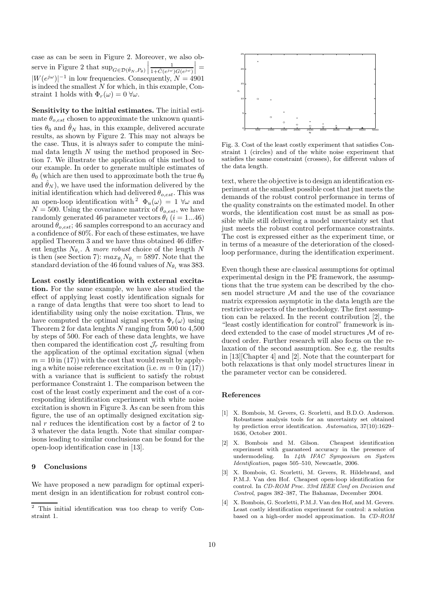case as can be seen in Figure 2. Moreover, we also observe in Figure 2 that  $\sup_{G \in \mathcal{D}(\hat{\theta}_N, P_\theta)} \left| \frac{1}{1 + \hat{C}(e^{j\omega}) G(e^{j\omega})} \right|$   $\vert$  =  $|W(e^{j\omega})|^{-1}$  in low frequencies. Consequently,  $N = 4901$ is indeed the smallest N for which, in this example, Constraint 1 holds with  $\Phi_r(\omega) = 0 \,\forall \omega$ .

Sensitivity to the initial estimates. The initial estimate  $\theta_{o,est}$  chosen to approximate the unknown quantities  $\theta_0$  and  $\hat{\theta}_N$  has, in this example, delivered accurate results, as shown by Figure 2. This may not always be the case. Thus, it is always safer to compute the minimal data length  $N$  using the method proposed in Section 7. We illustrate the application of this method to our example. In order to generate multiple estimates of  $\theta_0$  (which are then used to approximate both the true  $\theta_0$ and  $\hat{\theta}_N$ , we have used the information delivered by the initial identification which had delivered  $\theta_{o,est}$ . This was an open-loop identification with <sup>2</sup>  $\Phi_u(\omega) = 1 \ \forall \omega$  and  $N = 500$ . Using the covariance matrix of  $\theta_{o,est}$ , we have randomly generated 46 parameter vectors  $\theta_i$  (i = 1...46) around  $\theta_{o,est}$ ; 46 samples correspond to an accuracy and a confidence of 80%. For each of these estimates, we have applied Theorem 3 and we have thus obtained 46 different lengths  $N_{\theta_i}$ . A more robust choice of the length N is then (see Section 7):  $max_{\theta_i} N_{\theta_i} = 5897$ . Note that the standard deviation of the 46 found values of  $N_{\theta_i}$  was 383.

Least costly identification with external excitation. For the same example, we have also studied the effect of applying least costly identification signals for a range of data lengths that were too short to lead to identifiability using only the noise excitation. Thus, we have computed the optimal signal spectra  $\Phi_r(\omega)$  using Theorem 2 for data lenghts N ranging from  $500$  to  $4,500$ by steps of 500. For each of these data lenghts, we have then compared the identification cost  $\mathcal{J}_r$  resulting from the application of the optimal excitation signal (when  $m = 10$  in (17)) with the cost that would result by applying a white noise reference excitation (i.e.  $m = 0$  in (17)) with a variance that is sufficient to satisfy the robust performance Constraint 1. The comparison between the cost of the least costly experiment and the cost of a corresponding identification experiment with white noise excitation is shown in Figure 3. As can be seen from this figure, the use of an optimally designed excitation signal r reduces the identification cost by a factor of 2 to 3 whatever the data length. Note that similar comparisons leading to similar conclusions can be found for the open-loop identification case in [13].

#### 9 Conclusions

We have proposed a new paradigm for optimal experiment design in an identification for robust control con-



Fig. 3. Cost of the least costly experiment that satisfies Constraint 1 (circles) and of the white noise experiment that satisfies the same constraint (crosses), for different values of the data length.

text, where the objective is to design an identification experiment at the smallest possible cost that just meets the demands of the robust control performance in terms of the quality constraints on the estimated model. In other words, the identification cost must be as small as possible while still delivering a model uncertainty set that just meets the robust control performance constraints. The cost is expressed either as the experiment time, or in terms of a measure of the deterioration of the closedloop performance, during the identification experiment.

Even though these are classical assumptions for optimal experimental design in the PE framework, the assumptions that the true system can be described by the chosen model structure  $M$  and the use of the covariance matrix expression asymptotic in the data length are the restrictive aspects of the methodology. The first assumption can be relaxed. In the recent contribution [2], the "least costly identification for control" framework is indeed extended to the case of model structures  $\mathcal M$  of reduced order. Further research will also focus on the relaxation of the second assumption. See e.g. the results in [13][Chapter 4] and [2]. Note that the counterpart for both relaxations is that only model structures linear in the parameter vector can be considered.

## References

- [1] X. Bombois, M. Gevers, G. Scorletti, and B.D.O. Anderson. Robustness analysis tools for an uncertainty set obtained by prediction error identification. Automatica, 37(10):1629– 1636, October 2001.
- [2] X. Bombois and M. Gilson. Cheapest identification experiment with guaranteed accuracy in the presence of undermodeling. In 14th IFAC Symposium on System Identification, pages 505–510, Newcastle, 2006.
- [3] X. Bombois, G. Scorletti, M. Gevers, R. Hildebrand, and P.M.J. Van den Hof. Cheapest open-loop identification for control. In CD-ROM Proc. 33rd IEEE Conf on Decision and Control, pages 382–387, The Bahamas, December 2004.
- [4] X. Bombois, G. Scorletti, P.M.J. Van den Hof, and M. Gevers. Least costly identification experiment for control: a solution based on a high-order model approximation. In CD-ROM

<sup>2</sup> This initial identification was too cheap to verify Constraint 1.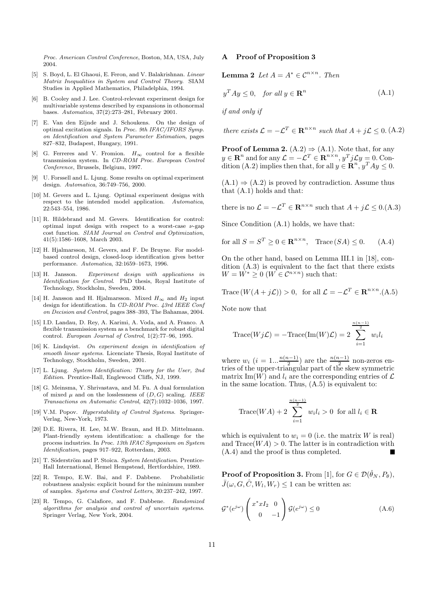Proc. American Control Conference, Boston, MA, USA, July 2004.

- [5] S. Boyd, L. El Ghaoui, E. Feron, and V. Balakrishnan. Linear Matrix Inequalities in System and Control Theory. SIAM Studies in Applied Mathematics, Philadelphia, 1994.
- [6] B. Cooley and J. Lee. Control-relevant experiment design for multivariable systems described by expansions in othonormal bases. Automatica, 37(2):273–281, February 2001.
- [7] E. Van den Eijnde and J. Schoukens. On the design of optimal excitation signals. In Proc. 9th IFAC/IFORS Symp. on Identification and System Parameter Estimation, pages 827–832, Budapest, Hungary, 1991.
- [8] G. Ferreres and V. Fromion.  $H_{\infty}$  control for a flexible transmission system. In CD-ROM Proc. European Control Conference, Brussels, Belgium, 1997.
- [9] U. Forssell and L. Ljung. Some results on optimal experiment design. Automatica, 36:749–756, 2000.
- [10] M. Gevers and L. Ljung. Optimal experiment designs with respect to the intended model application. Automatica, 22:543–554, 1986.
- [11] R. Hildebrand and M. Gevers. Identification for control: optimal input design with respect to a worst-case  $\nu$ -gap cost function. SIAM Journal on Control and Optimization, 41(5):1586–1608, March 2003.
- [12] H. Hjalmarsson, M. Gevers, and F. De Bruyne. For modelbased control design, closed-loop identification gives better performance. Automatica, 32:1659–1673, 1996.
- [13] H. Jansson. Experiment design with applications in Identification for Control. PhD thesis, Royal Institute of Technology, Stockholm, Sweden, 2004.
- [14] H. Jansson and H. Hjalmarsson. Mixed  $H_{\infty}$  and  $H_2$  input design for identification. In CD-ROM Proc. 43rd IEEE Conf on Decision and Control, pages 388–393, The Bahamas, 2004.
- [15] I.D. Landau, D. Rey, A. Karimi, A. Voda, and A. Franco. A flexible transmission system as a benchmark for robust digital control. European Journal of Control, 1(2):77–96, 1995.
- [16] K. Lindqvist. On experiment design in identification of smooth linear systems. Licenciate Thesis, Royal Institute of Technology, Stockholm, Sweden, 2001.
- [17] L. Ljung. System Identification: Theory for the User, 2nd Edition. Prentice-Hall, Englewood Cliffs, NJ, 1999.
- [18] G. Meinsma, Y. Shrivastava, and M. Fu. A dual formulation of mixed  $\mu$  and on the losslessness of  $(D, G)$  scaling. IEEE Transactions on Automatic Control, 42(7):1032–1036, 1997.
- [19] V.M. Popov. Hyperstability of Control Systems. Springer-Verlag, New-York, 1973.
- [20] D.E. Rivera, H. Lee, M.W. Braun, and H.D. Mittelmann. Plant-friendly system identification: a challenge for the process industries. In Proc. 13th IFAC Symposium on System Identification, pages 917–922, Rotterdam, 2003.
- [21] T. Söderström and P. Stoica. System Identification. Prentice-Hall International, Hemel Hempstead, Hertfordshire, 1989.
- [22] R. Tempo, E.W. Bai, and F. Dabbene. Probabilistic robustness analysis: explicit bound for the minimum number of samples. Systems and Control Letters, 30:237–242, 1997.
- [23] R. Tempo, G. Calafiore, and F. Dabbene. Randomized algorithms for analysis and control of uncertain systems. Springer Verlag, New York, 2004.

## A Proof of Proposition 3

**Lemma 2** Let  $A = A^* \in \mathcal{C}^{n \times n}$ . Then

$$
y^T A y \le 0, \quad \text{for all } y \in \mathbf{R}^n \tag{A.1}
$$

if and only if

there exists  $\mathcal{L} = -\mathcal{L}^T \in \mathbb{R}^{n \times n}$  such that  $A + j\mathcal{L} \leq 0$ . (A.2)

**Proof of Lemma 2.**  $(A.2) \Rightarrow (A.1)$ . Note that, for any  $y \in \mathbf{R}^n$  and for any  $\mathcal{L} = -\mathcal{L}^T \in \mathbf{R}^{n \times n}$ ,  $y^T j \mathcal{L} y = 0$ . Condition (A.2) implies then that, for all  $y \in \mathbf{R}^n$ ,  $y^T A y \leq 0$ .

 $(A.1) \Rightarrow (A.2)$  is proved by contradiction. Assume thus that (A.1) holds and that:

there is no 
$$
\mathcal{L} = -\mathcal{L}^T \in \mathbb{R}^{n \times n}
$$
 such that  $A + j\mathcal{L} \leq 0$ . (A.3)

Since Condition (A.1) holds, we have that:

$$
\text{for all } S = S^T \ge 0 \in \mathbf{R}^{n \times n}, \quad \text{Trace}(SA) \le 0. \tag{A.4}
$$

On the other hand, based on Lemma III.1 in [18], condition (A.3) is equivalent to the fact that there exists  $W = \hat{W}^* \geq 0$  ( $\hat{W} \in \mathcal{C}^{n \times n}$ ) such that:

Trace 
$$
(W(A + j\mathcal{L})) > 0
$$
, for all  $\mathcal{L} = -\mathcal{L}^T \in \mathbb{R}^{n \times n}$ . (A.5)

Note now that

Trace
$$
(Wj\mathcal{L}) = -\text{Trace}(\text{Im}(W)\mathcal{L}) = 2 \sum_{i=1}^{\frac{n(n-1)}{2}} w_i l_i
$$

where  $w_i$   $(i = 1... \frac{n(n-1)}{2})$  $\frac{n(n-1)}{2}$  are the  $\frac{n(n-1)}{2}$  non-zeros entries of the upper-triangular part of the skew symmetric matrix Im(W) and  $l_i$  are the corresponding entries of  $\mathcal L$ in the same location. Thus, (A.5) is equivalent to:

Trace
$$
(WA)
$$
 + 2 $\sum_{i=1}^{\frac{n(n-1)}{2}} w_i l_i > 0$  for all  $l_i \in \mathbb{R}$ 

which is equivalent to  $w_i = 0$  (i.e. the matrix W is real) and  $Trace(WA) > 0$ . The latter is in contradiction with (A.4) and the proof is thus completed.

**Proof of Proposition 3.** From [1], for  $G \in \mathcal{D}(\hat{\theta}_N, P_{\theta}),$  $\bar{J}(\omega, G, \hat{C}, W_l, W_r) \leq 1$  can be written as:

$$
\mathcal{G}^*(e^{j\omega})\begin{pmatrix} x^*xI_2 & 0\\ 0 & -1 \end{pmatrix} \mathcal{G}(e^{j\omega}) \le 0
$$
\n(A.6)